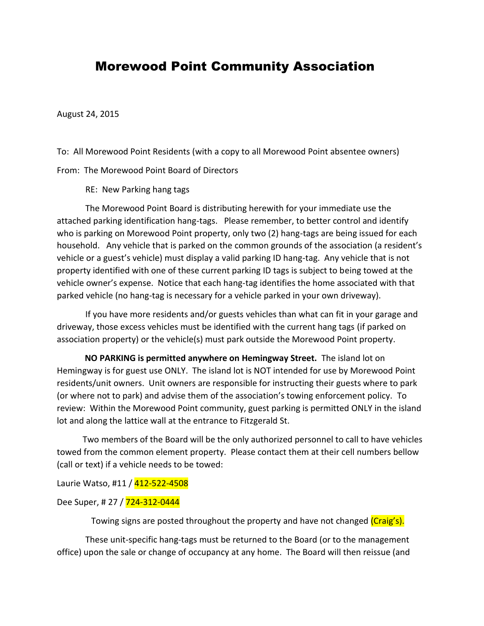## Morewood Point Community Association

August 24, 2015

To: All Morewood Point Residents (with a copy to all Morewood Point absentee owners)

From: The Morewood Point Board of Directors

RE: New Parking hang tags

The Morewood Point Board is distributing herewith for your immediate use the attached parking identification hang-tags. Please remember, to better control and identify who is parking on Morewood Point property, only two (2) hang-tags are being issued for each household. Any vehicle that is parked on the common grounds of the association (a resident's vehicle or a guest's vehicle) must display a valid parking ID hang-tag. Any vehicle that is not property identified with one of these current parking ID tags is subject to being towed at the vehicle owner's expense. Notice that each hang-tag identifies the home associated with that parked vehicle (no hang-tag is necessary for a vehicle parked in your own driveway).

If you have more residents and/or guests vehicles than what can fit in your garage and driveway, those excess vehicles must be identified with the current hang tags (if parked on association property) or the vehicle(s) must park outside the Morewood Point property.

 **NO PARKING is permitted anywhere on Hemingway Street.** The island lot on Hemingway is for guest use ONLY. The island lot is NOT intended for use by Morewood Point residents/unit owners. Unit owners are responsible for instructing their guests where to park (or where not to park) and advise them of the association's towing enforcement policy. To review: Within the Morewood Point community, guest parking is permitted ONLY in the island lot and along the lattice wall at the entrance to Fitzgerald St.

 Two members of the Board will be the only authorized personnel to call to have vehicles towed from the common element property. Please contact them at their cell numbers bellow (call or text) if a vehicle needs to be towed:

Laurie Watso, #11 / 412-522-4508

## Dee Super, # 27 / 724-312-0444

Towing signs are posted throughout the property and have not changed (Craig's).

These unit-specific hang-tags must be returned to the Board (or to the management office) upon the sale or change of occupancy at any home. The Board will then reissue (and